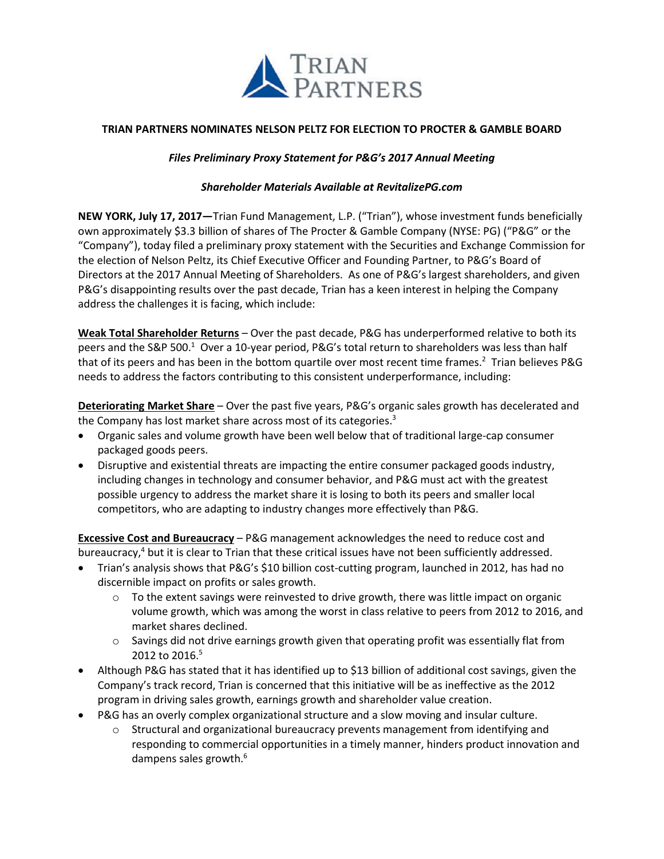

# **TRIAN PARTNERS NOMINATES NELSON PELTZ FOR ELECTION TO PROCTER & GAMBLE BOARD**

# *Files Preliminary Proxy Statement for P&G's 2017 Annual Meeting*

## *Shareholder Materials Available at RevitalizePG.com*

**NEW YORK, July 17, 2017—**Trian Fund Management, L.P. ("Trian"), whose investment funds beneficially own approximately \$3.3 billion of shares of The Procter & Gamble Company (NYSE: PG) ("P&G" or the "Company"), today filed a preliminary proxy statement with the Securities and Exchange Commission for the election of Nelson Peltz, its Chief Executive Officer and Founding Partner, to P&G's Board of Directors at the 2017 Annual Meeting of Shareholders. As one of P&G's largest shareholders, and given P&G's disappointing results over the past decade, Trian has a keen interest in helping the Company address the challenges it is facing, which include:

**Weak Total Shareholder Returns** – Over the past decade, P&G has underperformed relative to both its peers and the S&P 500.<sup>1</sup> Over a 10-year period, P&G's total return to shareholders was less than half that of its peers and has been in the bottom quartile over most recent time frames. <sup>2</sup> Trian believes P&G needs to address the factors contributing to this consistent underperformance, including:

**Deteriorating Market Share** – Over the past five years, P&G's organic sales growth has decelerated and the Company has lost market share across most of its categories.<sup>3</sup>

- Organic sales and volume growth have been well below that of traditional large-cap consumer packaged goods peers.
- Disruptive and existential threats are impacting the entire consumer packaged goods industry, including changes in technology and consumer behavior, and P&G must act with the greatest possible urgency to address the market share it is losing to both its peers and smaller local competitors, who are adapting to industry changes more effectively than P&G.

**Excessive Cost and Bureaucracy** – P&G management acknowledges the need to reduce cost and bureaucracy,<sup>4</sup> but it is clear to Trian that these critical issues have not been sufficiently addressed.

- Trian's analysis shows that P&G's \$10 billion cost-cutting program, launched in 2012, has had no discernible impact on profits or sales growth.
	- $\circ$  To the extent savings were reinvested to drive growth, there was little impact on organic volume growth, which was among the worst in class relative to peers from 2012 to 2016, and market shares declined.
	- $\circ$  Savings did not drive earnings growth given that operating profit was essentially flat from 2012 to 2016.<sup>5</sup>
- Although P&G has stated that it has identified up to \$13 billion of additional cost savings, given the Company's track record, Trian is concerned that this initiative will be as ineffective as the 2012 program in driving sales growth, earnings growth and shareholder value creation.
- P&G has an overly complex organizational structure and a slow moving and insular culture.
	- $\circ$  Structural and organizational bureaucracy prevents management from identifying and responding to commercial opportunities in a timely manner, hinders product innovation and dampens sales growth.<sup>6</sup>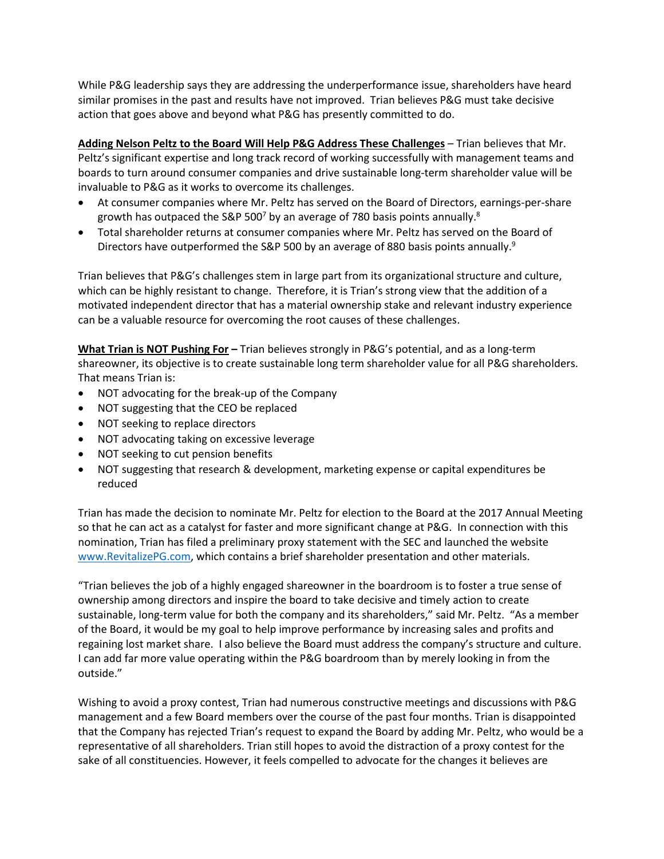While P&G leadership says they are addressing the underperformance issue, shareholders have heard similar promises in the past and results have not improved. Trian believes P&G must take decisive action that goes above and beyond what P&G has presently committed to do.

**Adding Nelson Peltz to the Board Will Help P&G Address These Challenges** – Trian believes that Mr. Peltz's significant expertise and long track record of working successfully with management teams and boards to turn around consumer companies and drive sustainable long-term shareholder value will be invaluable to P&G as it works to overcome its challenges.

- At consumer companies where Mr. Peltz has served on the Board of Directors, earnings-per-share growth has outpaced the S&P 500<sup>7</sup> by an average of 780 basis points annually.<sup>8</sup>
- Total shareholder returns at consumer companies where Mr. Peltz has served on the Board of Directors have outperformed the S&P 500 by an average of 880 basis points annually.<sup>9</sup>

Trian believes that P&G's challenges stem in large part from its organizational structure and culture, which can be highly resistant to change. Therefore, it is Trian's strong view that the addition of a motivated independent director that has a material ownership stake and relevant industry experience can be a valuable resource for overcoming the root causes of these challenges.

**What Trian is NOT Pushing For –** Trian believes strongly in P&G's potential, and as a long-term shareowner, its objective is to create sustainable long term shareholder value for all P&G shareholders. That means Trian is:

- NOT advocating for the break-up of the Company
- NOT suggesting that the CEO be replaced
- NOT seeking to replace directors
- NOT advocating taking on excessive leverage
- NOT seeking to cut pension benefits
- NOT suggesting that research & development, marketing expense or capital expenditures be reduced

Trian has made the decision to nominate Mr. Peltz for election to the Board at the 2017 Annual Meeting so that he can act as a catalyst for faster and more significant change at P&G. In connection with this nomination, Trian has filed a preliminary proxy statement with the SEC and launched the website [www.RevitalizePG.com,](http://www.revitalizepg.com/) which contains a brief shareholder presentation and other materials.

"Trian believes the job of a highly engaged shareowner in the boardroom is to foster a true sense of ownership among directors and inspire the board to take decisive and timely action to create sustainable, long-term value for both the company and its shareholders," said Mr. Peltz. "As a member of the Board, it would be my goal to help improve performance by increasing sales and profits and regaining lost market share. I also believe the Board must address the company's structure and culture. I can add far more value operating within the P&G boardroom than by merely looking in from the outside."

Wishing to avoid a proxy contest, Trian had numerous constructive meetings and discussions with P&G management and a few Board members over the course of the past four months. Trian is disappointed that the Company has rejected Trian's request to expand the Board by adding Mr. Peltz, who would be a representative of all shareholders. Trian still hopes to avoid the distraction of a proxy contest for the sake of all constituencies. However, it feels compelled to advocate for the changes it believes are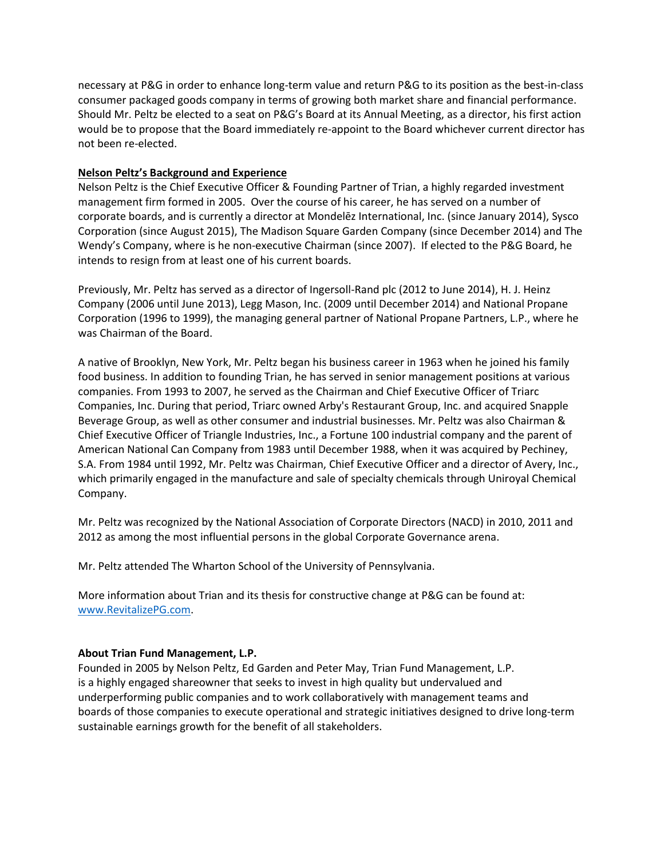necessary at P&G in order to enhance long-term value and return P&G to its position as the best-in-class consumer packaged goods company in terms of growing both market share and financial performance. Should Mr. Peltz be elected to a seat on P&G's Board at its Annual Meeting, as a director, his first action would be to propose that the Board immediately re-appoint to the Board whichever current director has not been re-elected.

## **Nelson Peltz's Background and Experience**

Nelson Peltz is the Chief Executive Officer & Founding Partner of Trian, a highly regarded investment management firm formed in 2005. Over the course of his career, he has served on a number of corporate boards, and is currently a director at Mondelēz International, Inc. (since January 2014), Sysco Corporation (since August 2015), The Madison Square Garden Company (since December 2014) and The Wendy's Company, where is he non-executive Chairman (since 2007). If elected to the P&G Board, he intends to resign from at least one of his current boards.

Previously, Mr. Peltz has served as a director of Ingersoll-Rand plc (2012 to June 2014), H. J. Heinz Company (2006 until June 2013), Legg Mason, Inc. (2009 until December 2014) and National Propane Corporation (1996 to 1999), the managing general partner of National Propane Partners, L.P., where he was Chairman of the Board.

A native of Brooklyn, New York, Mr. Peltz began his business career in 1963 when he joined his family food business. In addition to founding Trian, he has served in senior management positions at various companies. From 1993 to 2007, he served as the Chairman and Chief Executive Officer of Triarc Companies, Inc. During that period, Triarc owned Arby's Restaurant Group, Inc. and acquired Snapple Beverage Group, as well as other consumer and industrial businesses. Mr. Peltz was also Chairman & Chief Executive Officer of Triangle Industries, Inc., a Fortune 100 industrial company and the parent of American National Can Company from 1983 until December 1988, when it was acquired by Pechiney, S.A. From 1984 until 1992, Mr. Peltz was Chairman, Chief Executive Officer and a director of Avery, Inc., which primarily engaged in the manufacture and sale of specialty chemicals through Uniroyal Chemical Company.

Mr. Peltz was recognized by the National Association of Corporate Directors (NACD) in 2010, 2011 and 2012 as among the most influential persons in the global Corporate Governance arena.

Mr. Peltz attended The Wharton School of the University of Pennsylvania.

More information about Trian and its thesis for constructive change at P&G can be found at: [www.RevitalizePG.com.](http://www.revitalizepg.com/)

# **About Trian Fund Management, L.P.**

Founded in 2005 by Nelson Peltz, Ed Garden and Peter May, Trian Fund Management, L.P. is a highly engaged shareowner that seeks to invest in high quality but undervalued and underperforming public companies and to work collaboratively with management teams and boards of those companies to execute operational and strategic initiatives designed to drive long-term sustainable earnings growth for the benefit of all stakeholders.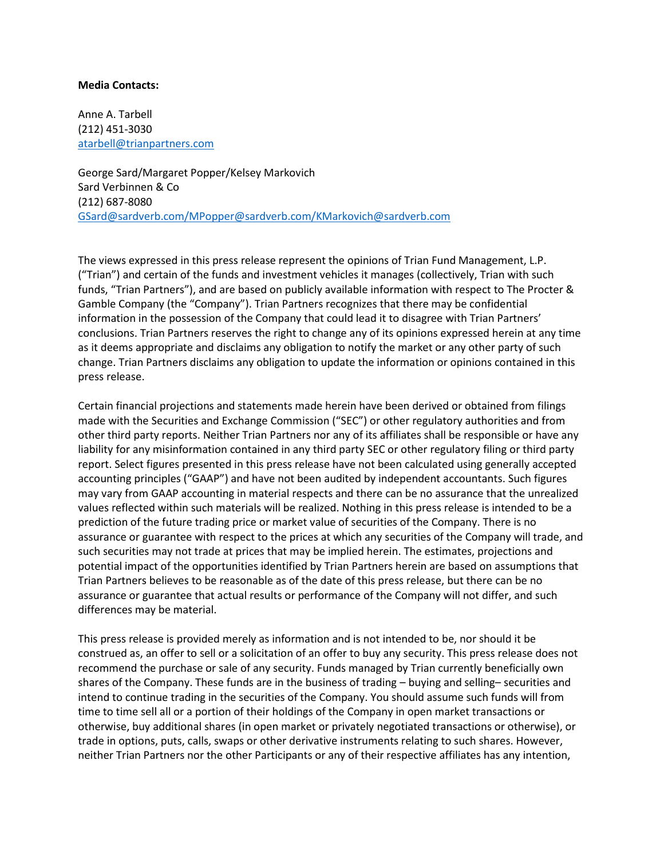#### **Media Contacts:**

Anne A. Tarbell (212) 451-3030 [atarbell@trianpartners.com](mailto:atarbell@trianpartners.com)

George Sard/Margaret Popper/Kelsey Markovich Sard Verbinnen & Co (212) 687-8080 [GSard@sardverb.com/MPopper@sardverb.com/KMarkovich@sardverb.com](mailto:GSard@sardverb.com/MPopper@sardverb.com/KMarkovich@sardverb.com)

The views expressed in this press release represent the opinions of Trian Fund Management, L.P. ("Trian") and certain of the funds and investment vehicles it manages (collectively, Trian with such funds, "Trian Partners"), and are based on publicly available information with respect to The Procter & Gamble Company (the "Company"). Trian Partners recognizes that there may be confidential information in the possession of the Company that could lead it to disagree with Trian Partners' conclusions. Trian Partners reserves the right to change any of its opinions expressed herein at any time as it deems appropriate and disclaims any obligation to notify the market or any other party of such change. Trian Partners disclaims any obligation to update the information or opinions contained in this press release.

Certain financial projections and statements made herein have been derived or obtained from filings made with the Securities and Exchange Commission ("SEC") or other regulatory authorities and from other third party reports. Neither Trian Partners nor any of its affiliates shall be responsible or have any liability for any misinformation contained in any third party SEC or other regulatory filing or third party report. Select figures presented in this press release have not been calculated using generally accepted accounting principles ("GAAP") and have not been audited by independent accountants. Such figures may vary from GAAP accounting in material respects and there can be no assurance that the unrealized values reflected within such materials will be realized. Nothing in this press release is intended to be a prediction of the future trading price or market value of securities of the Company. There is no assurance or guarantee with respect to the prices at which any securities of the Company will trade, and such securities may not trade at prices that may be implied herein. The estimates, projections and potential impact of the opportunities identified by Trian Partners herein are based on assumptions that Trian Partners believes to be reasonable as of the date of this press release, but there can be no assurance or guarantee that actual results or performance of the Company will not differ, and such differences may be material.

This press release is provided merely as information and is not intended to be, nor should it be construed as, an offer to sell or a solicitation of an offer to buy any security. This press release does not recommend the purchase or sale of any security. Funds managed by Trian currently beneficially own shares of the Company. These funds are in the business of trading – buying and selling– securities and intend to continue trading in the securities of the Company. You should assume such funds will from time to time sell all or a portion of their holdings of the Company in open market transactions or otherwise, buy additional shares (in open market or privately negotiated transactions or otherwise), or trade in options, puts, calls, swaps or other derivative instruments relating to such shares. However, neither Trian Partners nor the other Participants or any of their respective affiliates has any intention,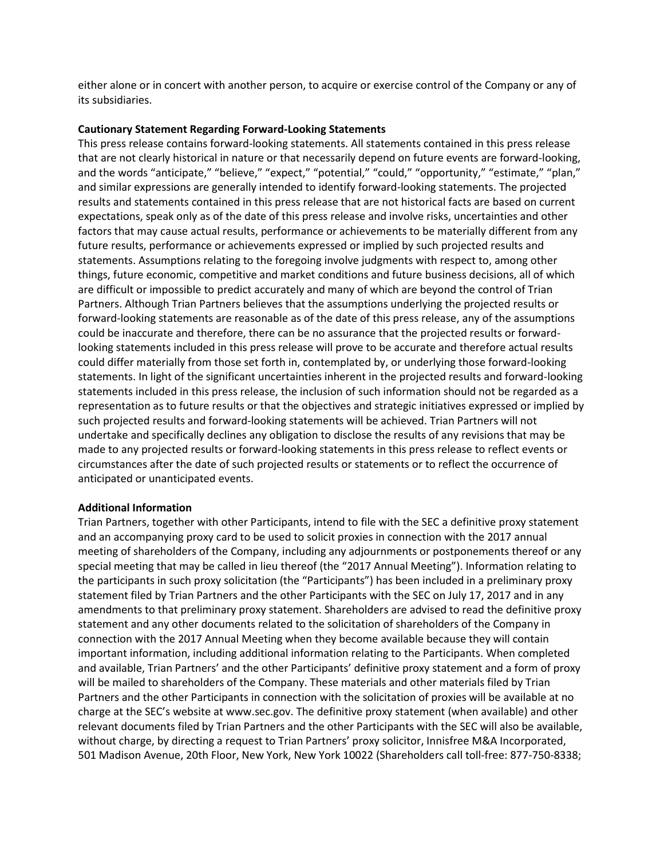either alone or in concert with another person, to acquire or exercise control of the Company or any of its subsidiaries.

## **Cautionary Statement Regarding Forward-Looking Statements**

This press release contains forward-looking statements. All statements contained in this press release that are not clearly historical in nature or that necessarily depend on future events are forward-looking, and the words "anticipate," "believe," "expect," "potential," "could," "opportunity," "estimate," "plan," and similar expressions are generally intended to identify forward-looking statements. The projected results and statements contained in this press release that are not historical facts are based on current expectations, speak only as of the date of this press release and involve risks, uncertainties and other factors that may cause actual results, performance or achievements to be materially different from any future results, performance or achievements expressed or implied by such projected results and statements. Assumptions relating to the foregoing involve judgments with respect to, among other things, future economic, competitive and market conditions and future business decisions, all of which are difficult or impossible to predict accurately and many of which are beyond the control of Trian Partners. Although Trian Partners believes that the assumptions underlying the projected results or forward-looking statements are reasonable as of the date of this press release, any of the assumptions could be inaccurate and therefore, there can be no assurance that the projected results or forwardlooking statements included in this press release will prove to be accurate and therefore actual results could differ materially from those set forth in, contemplated by, or underlying those forward-looking statements. In light of the significant uncertainties inherent in the projected results and forward-looking statements included in this press release, the inclusion of such information should not be regarded as a representation as to future results or that the objectives and strategic initiatives expressed or implied by such projected results and forward-looking statements will be achieved. Trian Partners will not undertake and specifically declines any obligation to disclose the results of any revisions that may be made to any projected results or forward-looking statements in this press release to reflect events or circumstances after the date of such projected results or statements or to reflect the occurrence of anticipated or unanticipated events.

## **Additional Information**

Trian Partners, together with other Participants, intend to file with the SEC a definitive proxy statement and an accompanying proxy card to be used to solicit proxies in connection with the 2017 annual meeting of shareholders of the Company, including any adjournments or postponements thereof or any special meeting that may be called in lieu thereof (the "2017 Annual Meeting"). Information relating to the participants in such proxy solicitation (the "Participants") has been included in a preliminary proxy statement filed by Trian Partners and the other Participants with the SEC on July 17, 2017 and in any amendments to that preliminary proxy statement. Shareholders are advised to read the definitive proxy statement and any other documents related to the solicitation of shareholders of the Company in connection with the 2017 Annual Meeting when they become available because they will contain important information, including additional information relating to the Participants. When completed and available, Trian Partners' and the other Participants' definitive proxy statement and a form of proxy will be mailed to shareholders of the Company. These materials and other materials filed by Trian Partners and the other Participants in connection with the solicitation of proxies will be available at no charge at the SEC's website at www.sec.gov. The definitive proxy statement (when available) and other relevant documents filed by Trian Partners and the other Participants with the SEC will also be available, without charge, by directing a request to Trian Partners' proxy solicitor, Innisfree M&A Incorporated, 501 Madison Avenue, 20th Floor, New York, New York 10022 (Shareholders call toll-free: 877-750-8338;